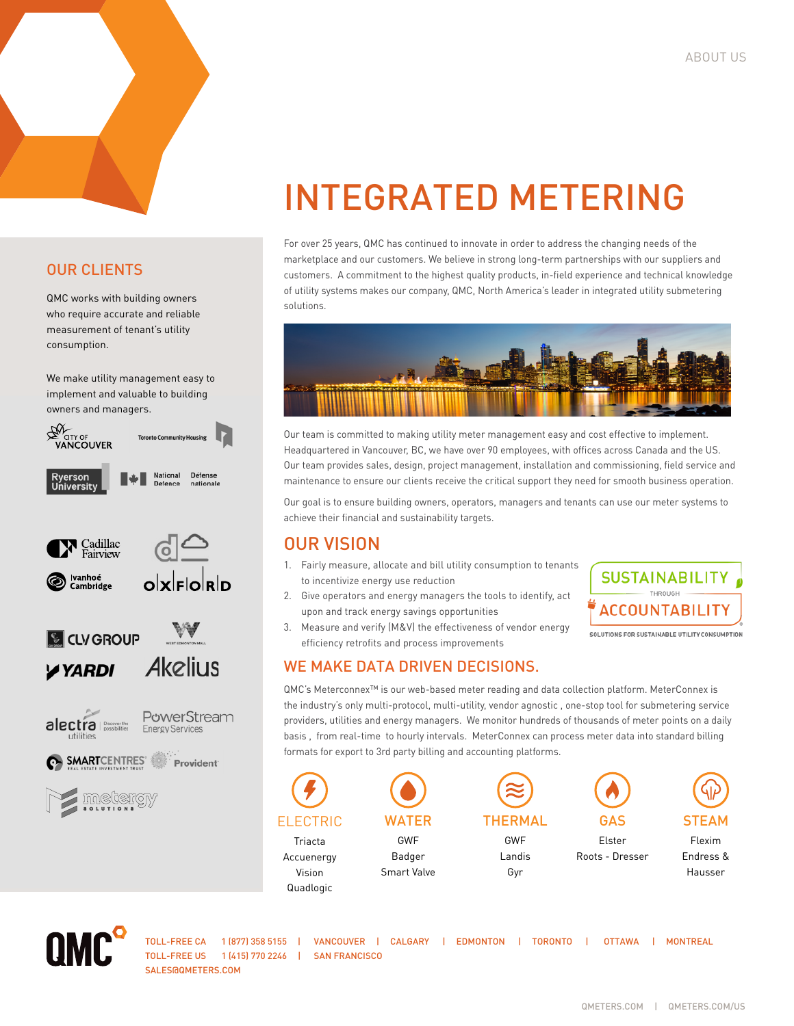# OUR CLIENTS

QMC works with building owners who require accurate and reliable measurement of tenant's utility consumption.

We make utility management easy to implement and valuable to building owners and managers.



# INTEGRATED METERING

For over 25 years, QMC has continued to innovate in order to address the changing needs of the marketplace and our customers. We believe in strong long-term partnerships with our suppliers and customers. A commitment to the highest quality products, in-field experience and technical knowledge of utility systems makes our company, QMC, North America's leader in integrated utility submetering solutions.



Our team is committed to making utility meter management easy and cost effective to implement. Headquartered in Vancouver, BC, we have over 90 employees, with offices across Canada and the US. Our team provides sales, design, project management, installation and commissioning, field service and maintenance to ensure our clients receive the critical support they need for smooth business operation.

Our goal is to ensure building owners, operators, managers and tenants can use our meter systems to achieve their financial and sustainability targets.

# OUR VISION

- 1. Fairly measure, allocate and bill utility consumption to tenants to incentivize energy use reduction
- 2. Give operators and energy managers the tools to identify, act upon and track energy savings opportunities
- 3. Measure and verify (M&V) the effectiveness of vendor energy efficiency retrofits and process improvements

### WE MAKE DATA DRIVEN DECISIONS.

ACCOUNTABILIT' SOLUTIONS FOR SUSTAINABLE UTILITY CONSUMPTION

**SUSTAINABILITY** 

QMC's Meterconnex™ is our web-based meter reading and data collection platform. MeterConnex is the industry's only multi-protocol, multi-utility, vendor agnostic , one-stop tool for submetering service providers, utilities and energy managers. We monitor hundreds of thousands of meter points on a daily basis , from real-time to hourly intervals. MeterConnex can process meter data into standard billing formats for export to 3rd party billing and accounting platforms.





TOLL-FREE US 1 (415) 770 2246 | SAN FRANCISCO SALES@OMETERS.COM

TOLL-FREE CA 1 (877) 358 5155 | VANCOUVER | CALGARY | EDMONTON | TORONTO | OTTAWA | MONTREAL